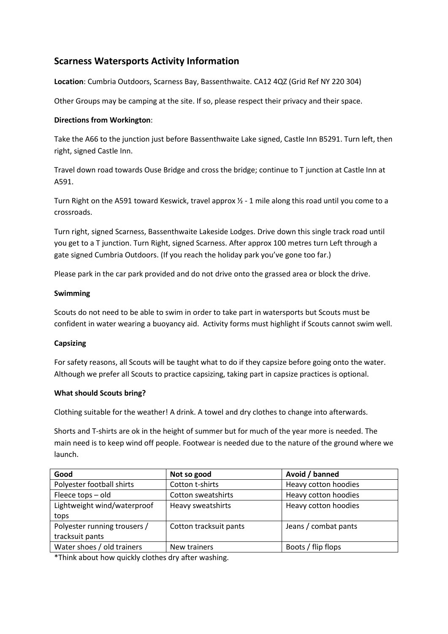# **Scarness Watersports Activity Information**

**Location**: Cumbria Outdoors, Scarness Bay, Bassenthwaite. CA12 4QZ (Grid Ref NY 220 304)

Other Groups may be camping at the site. If so, please respect their privacy and their space.

### **Directions from Workington**:

Take the A66 to the junction just before Bassenthwaite Lake signed, Castle Inn B5291. Turn left, then right, signed Castle Inn.

Travel down road towards Ouse Bridge and cross the bridge; continue to T junction at Castle Inn at A591.

Turn Right on the A591 toward Keswick, travel approx  $\frac{1}{2}$  - 1 mile along this road until you come to a crossroads.

Turn right, signed Scarness, Bassenthwaite Lakeside Lodges. Drive down this single track road until you get to a T junction. Turn Right, signed Scarness. After approx 100 metres turn Left through a gate signed Cumbria Outdoors. (If you reach the holiday park you've gone too far.)

Please park in the car park provided and do not drive onto the grassed area or block the drive.

#### **Swimming**

Scouts do not need to be able to swim in order to take part in watersports but Scouts must be confident in water wearing a buoyancy aid. Activity forms must highlight if Scouts cannot swim well.

## **Capsizing**

For safety reasons, all Scouts will be taught what to do if they capsize before going onto the water. Although we prefer all Scouts to practice capsizing, taking part in capsize practices is optional.

#### **What should Scouts bring?**

Clothing suitable for the weather! A drink. A towel and dry clothes to change into afterwards.

Shorts and T-shirts are ok in the height of summer but for much of the year more is needed. The main need is to keep wind off people. Footwear is needed due to the nature of the ground where we launch.

| Good                         | Not so good            | Avoid / banned       |
|------------------------------|------------------------|----------------------|
| Polyester football shirts    | Cotton t-shirts        | Heavy cotton hoodies |
| Fleece tops - old            | Cotton sweatshirts     | Heavy cotton hoodies |
| Lightweight wind/waterproof  | Heavy sweatshirts      | Heavy cotton hoodies |
| tops                         |                        |                      |
| Polyester running trousers / | Cotton tracksuit pants | Jeans / combat pants |
| tracksuit pants              |                        |                      |
| Water shoes / old trainers   | New trainers           | Boots / flip flops   |

\*Think about how quickly clothes dry after washing.